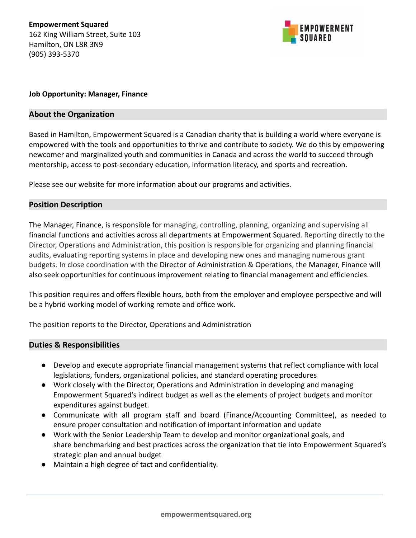

## **Job Opportunity: Manager, Finance**

## **About the Organization**

Based in Hamilton, Empowerment Squared is a Canadian charity that is building a world where everyone is empowered with the tools and opportunities to thrive and contribute to society. We do this by empowering newcomer and marginalized youth and communities in Canada and across the world to succeed through mentorship, access to post-secondary education, information literacy, and sports and recreation.

Please see our website for more information about our programs and activities.

## **Position Description**

The Manager, Finance, is responsible for managing, controlling, planning, organizing and supervising all financial functions and activities across all departments at Empowerment Squared. Reporting directly to the Director, Operations and Administration, this position is responsible for organizing and planning financial audits, evaluating reporting systems in place and developing new ones and managing numerous grant budgets. In close coordination with the Director of Administration & Operations, the Manager, Finance will also seek opportunities for continuous improvement relating to financial management and efficiencies.

This position requires and offers flexible hours, both from the employer and employee perspective and will be a hybrid working model of working remote and office work.

The position reports to the Director, Operations and Administration

## **Duties & Responsibilities**

- Develop and execute appropriate financial management systems that reflect compliance with local legislations, funders, organizational policies, and standard operating procedures
- Work closely with the Director, Operations and Administration in developing and managing Empowerment Squared's indirect budget as well as the elements of project budgets and monitor expenditures against budget.
- Communicate with all program staff and board (Finance/Accounting Committee), as needed to ensure proper consultation and notification of important information and update
- Work with the Senior Leadership Team to develop and monitor organizational goals, and share benchmarking and best practices across the organization that tie into Empowerment Squared's strategic plan and annual budget
- Maintain a high degree of tact and confidentiality.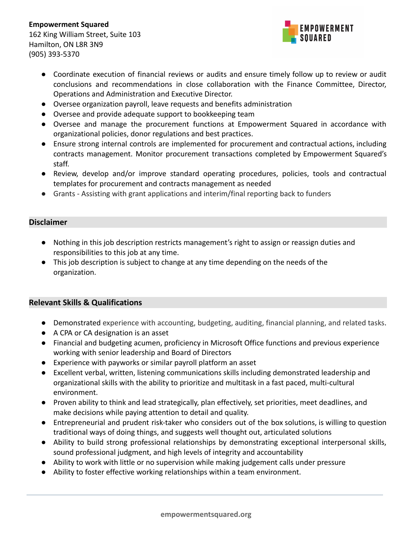

- Coordinate execution of financial reviews or audits and ensure timely follow up to review or audit conclusions and recommendations in close collaboration with the Finance Committee, Director, Operations and Administration and Executive Director.
- Oversee organization payroll, leave requests and benefits administration
- Oversee and provide adequate support to bookkeeping team
- Oversee and manage the procurement functions at Empowerment Squared in accordance with organizational policies, donor regulations and best practices.
- Ensure strong internal controls are implemented for procurement and contractual actions, including contracts management. Monitor procurement transactions completed by Empowerment Squared's staff.
- Review, develop and/or improve standard operating procedures, policies, tools and contractual templates for procurement and contracts management as needed
- Grants Assisting with grant applications and interim/final reporting back to funders

# **Disclaimer**

- Nothing in this job description restricts management's right to assign or reassign duties and responsibilities to this job at any time.
- This job description is subject to change at any time depending on the needs of the organization.

# **Relevant Skills & Qualifications**

- Demonstrated experience with accounting, budgeting, auditing, financial planning, and related tasks.
- A CPA or CA designation is an asset
- Financial and budgeting acumen, proficiency in Microsoft Office functions and previous experience working with senior leadership and Board of Directors
- Experience with payworks or similar payroll platform an asset
- Excellent verbal, written, listening communications skills including demonstrated leadership and organizational skills with the ability to prioritize and multitask in a fast paced, multi-cultural environment.
- Proven ability to think and lead strategically, plan effectively, set priorities, meet deadlines, and make decisions while paying attention to detail and quality.
- Entrepreneurial and prudent risk-taker who considers out of the box solutions, is willing to question traditional ways of doing things, and suggests well thought out, articulated solutions
- Ability to build strong professional relationships by demonstrating exceptional interpersonal skills, sound professional judgment, and high levels of integrity and accountability
- Ability to work with little or no supervision while making judgement calls under pressure
- Ability to foster effective working relationships within a team environment.